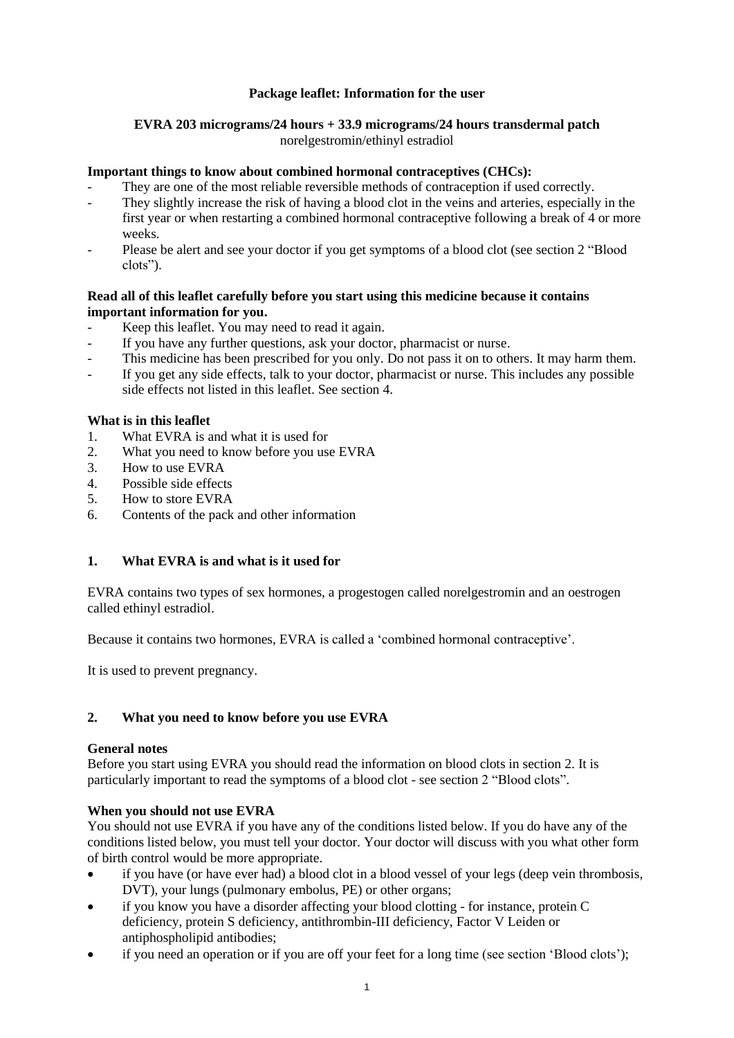### **Package leaflet: Information for the user**

# **EVRA 203 micrograms/24 hours + 33.9 micrograms/24 hours transdermal patch**

norelgestromin/ethinyl estradiol

### **Important things to know about combined hormonal contraceptives (CHCs):**

- They are one of the most reliable reversible methods of contraception if used correctly.
- They slightly increase the risk of having a blood clot in the veins and arteries, especially in the first year or when restarting a combined hormonal contraceptive following a break of 4 or more weeks.
- Please be alert and see your doctor if you get symptoms of a blood clot (see section 2 "Blood clots").

#### **Read all of this leaflet carefully before you start using this medicine because it contains important information for you.**

- Keep this leaflet. You may need to read it again.
- If you have any further questions, ask your doctor, pharmacist or nurse.
- This medicine has been prescribed for you only. Do not pass it on to others. It may harm them.
- If you get any side effects, talk to your doctor, pharmacist or nurse. This includes any possible side effects not listed in this leaflet. See section 4.

#### **What is in this leaflet**

- 1. What EVRA is and what it is used for
- 2. What you need to know before you use EVRA
- 3. How to use EVRA
- 4. Possible side effects
- 5. How to store EVRA
- 6. Contents of the pack and other information

### **1. What EVRA is and what is it used for**

EVRA contains two types of sex hormones, a progestogen called norelgestromin and an oestrogen called ethinyl estradiol.

Because it contains two hormones, EVRA is called a 'combined hormonal contraceptive'.

It is used to prevent pregnancy.

### **2. What you need to know before you use EVRA**

#### **General notes**

Before you start using EVRA you should read the information on blood clots in section 2. It is particularly important to read the symptoms of a blood clot - see section 2 "Blood clots".

### **When you should not use EVRA**

You should not use EVRA if you have any of the conditions listed below. If you do have any of the conditions listed below, you must tell your doctor. Your doctor will discuss with you what other form of birth control would be more appropriate.

- if you have (or have ever had) a blood clot in a blood vessel of your legs (deep vein thrombosis, DVT), your lungs (pulmonary embolus, PE) or other organs;
- if you know you have a disorder affecting your blood clotting for instance, protein C deficiency, protein S deficiency, antithrombin-III deficiency, Factor V Leiden or antiphospholipid antibodies;
- if you need an operation or if you are off your feet for a long time (see section 'Blood clots');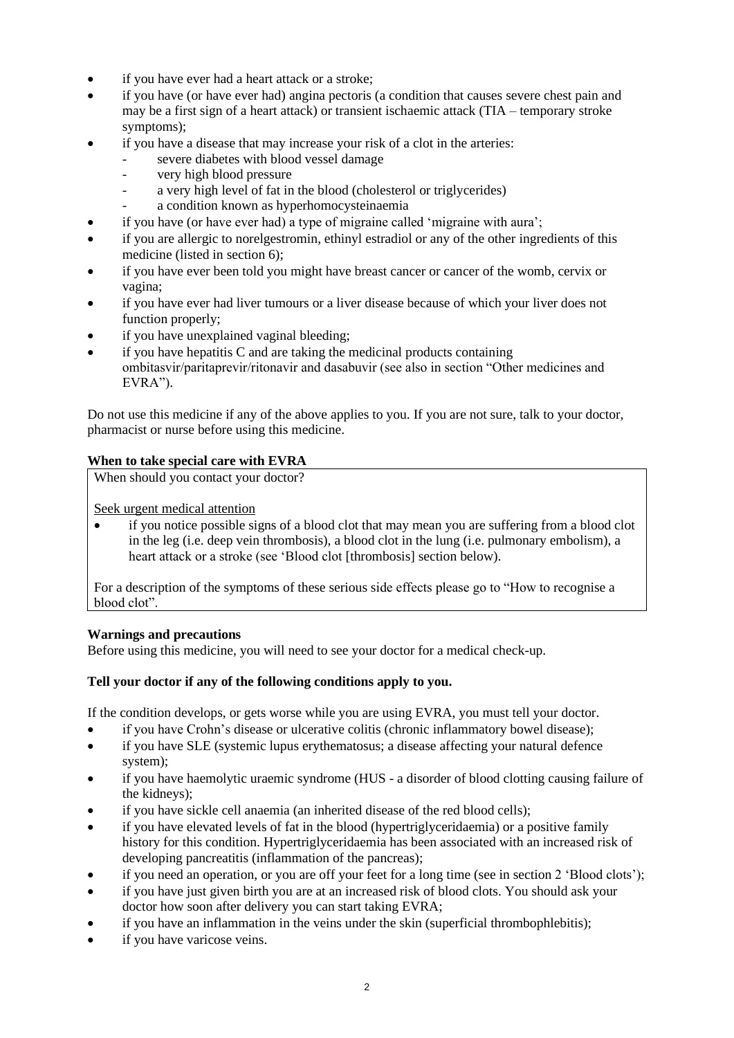- if you have ever had a heart attack or a stroke;
- if you have (or have ever had) angina pectoris (a condition that causes severe chest pain and may be a first sign of a heart attack) or transient ischaemic attack (TIA – temporary stroke symptoms);
- if you have a disease that may increase your risk of a clot in the arteries:
	- severe diabetes with blood vessel damage
	- very high blood pressure
	- a very high level of fat in the blood (cholesterol or triglycerides)
	- a condition known as hyperhomocysteinaemia
- if you have (or have ever had) a type of migraine called 'migraine with aura';
- if you are allergic to norelgestromin, ethinyl estradiol or any of the other ingredients of this medicine (listed in section 6);
- if you have ever been told you might have breast cancer or cancer of the womb, cervix or vagina;
- if you have ever had liver tumours or a liver disease because of which your liver does not function properly;
- if you have unexplained vaginal bleeding;
- $\alpha$  if you have hepatitis C and are taking the medicinal products containing ombitasvir/paritaprevir/ritonavir and dasabuvir (see also in section "Other medicines and EVRA").

Do not use this medicine if any of the above applies to you. If you are not sure, talk to your doctor, pharmacist or nurse before using this medicine.

### **When to take special care with EVRA**

When should you contact your doctor?

Seek urgent medical attention

• if you notice possible signs of a blood clot that may mean you are suffering from a blood clot in the leg (i.e. deep vein thrombosis), a blood clot in the lung (i.e. pulmonary embolism), a heart attack or a stroke (see 'Blood clot [thrombosis] section below).

For a description of the symptoms of these serious side effects please go to "How to recognise a blood clot".

### **Warnings and precautions**

Before using this medicine, you will need to see your doctor for a medical check-up.

### **Tell your doctor if any of the following conditions apply to you.**

If the condition develops, or gets worse while you are using EVRA, you must tell your doctor.

- if you have Crohn's disease or ulcerative colitis (chronic inflammatory bowel disease);
- if you have SLE (systemic lupus erythematosus; a disease affecting your natural defence system);
- if you have haemolytic uraemic syndrome (HUS a disorder of blood clotting causing failure of the kidneys);
- if you have sickle cell anaemia (an inherited disease of the red blood cells);
- if you have elevated levels of fat in the blood (hypertriglyceridaemia) or a positive family history for this condition. Hypertriglyceridaemia has been associated with an increased risk of developing pancreatitis (inflammation of the pancreas);
- if you need an operation, or you are off your feet for a long time (see in section 2 'Blood clots');
- if you have just given birth you are at an increased risk of blood clots. You should ask your doctor how soon after delivery you can start taking EVRA;
- if you have an inflammation in the veins under the skin (superficial thrombophlebitis);
- if you have varicose veins.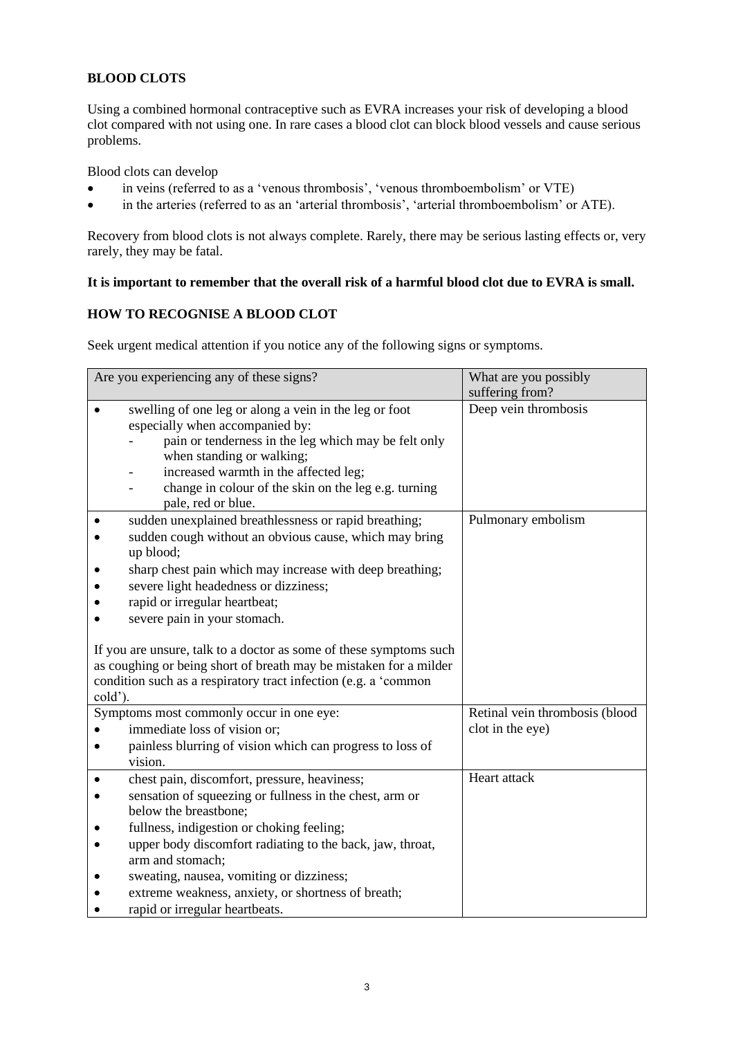### **BLOOD CLOTS**

Using a combined hormonal contraceptive such as EVRA increases your risk of developing a blood clot compared with not using one. In rare cases a blood clot can block blood vessels and cause serious problems.

Blood clots can develop

- in veins (referred to as a 'venous thrombosis', 'venous thromboembolism' or VTE)
- in the arteries (referred to as an 'arterial thrombosis', 'arterial thromboembolism' or ATE).

Recovery from blood clots is not always complete. Rarely, there may be serious lasting effects or, very rarely, they may be fatal.

### **It is important to remember that the overall risk of a harmful blood clot due to EVRA is small.**

#### **HOW TO RECOGNISE A BLOOD CLOT**

Seek urgent medical attention if you notice any of the following signs or symptoms.

| Are you experiencing any of these signs? |                                                                                                                                                                                                                                                                                                       | What are you possibly<br>suffering from? |
|------------------------------------------|-------------------------------------------------------------------------------------------------------------------------------------------------------------------------------------------------------------------------------------------------------------------------------------------------------|------------------------------------------|
|                                          | swelling of one leg or along a vein in the leg or foot<br>especially when accompanied by:<br>pain or tenderness in the leg which may be felt only<br>when standing or walking;<br>increased warmth in the affected leg;<br>change in colour of the skin on the leg e.g. turning<br>pale, red or blue. | Deep vein thrombosis                     |
|                                          | sudden unexplained breathlessness or rapid breathing;<br>sudden cough without an obvious cause, which may bring<br>up blood;                                                                                                                                                                          | Pulmonary embolism                       |
|                                          | sharp chest pain which may increase with deep breathing;                                                                                                                                                                                                                                              |                                          |
|                                          | severe light headedness or dizziness;<br>rapid or irregular heartbeat;                                                                                                                                                                                                                                |                                          |
|                                          | severe pain in your stomach.                                                                                                                                                                                                                                                                          |                                          |
| cold').                                  | If you are unsure, talk to a doctor as some of these symptoms such<br>as coughing or being short of breath may be mistaken for a milder<br>condition such as a respiratory tract infection (e.g. a 'common                                                                                            |                                          |
|                                          | Symptoms most commonly occur in one eye:                                                                                                                                                                                                                                                              | Retinal vein thrombosis (blood           |
|                                          | immediate loss of vision or;                                                                                                                                                                                                                                                                          | clot in the eye)                         |
|                                          | painless blurring of vision which can progress to loss of<br>vision.                                                                                                                                                                                                                                  |                                          |
|                                          | chest pain, discomfort, pressure, heaviness;                                                                                                                                                                                                                                                          | Heart attack                             |
|                                          | sensation of squeezing or fullness in the chest, arm or<br>below the breastbone;                                                                                                                                                                                                                      |                                          |
|                                          | fullness, indigestion or choking feeling;                                                                                                                                                                                                                                                             |                                          |
|                                          | upper body discomfort radiating to the back, jaw, throat,                                                                                                                                                                                                                                             |                                          |
|                                          | arm and stomach;                                                                                                                                                                                                                                                                                      |                                          |
|                                          | sweating, nausea, vomiting or dizziness;                                                                                                                                                                                                                                                              |                                          |
|                                          | extreme weakness, anxiety, or shortness of breath;                                                                                                                                                                                                                                                    |                                          |
|                                          | rapid or irregular heartbeats.                                                                                                                                                                                                                                                                        |                                          |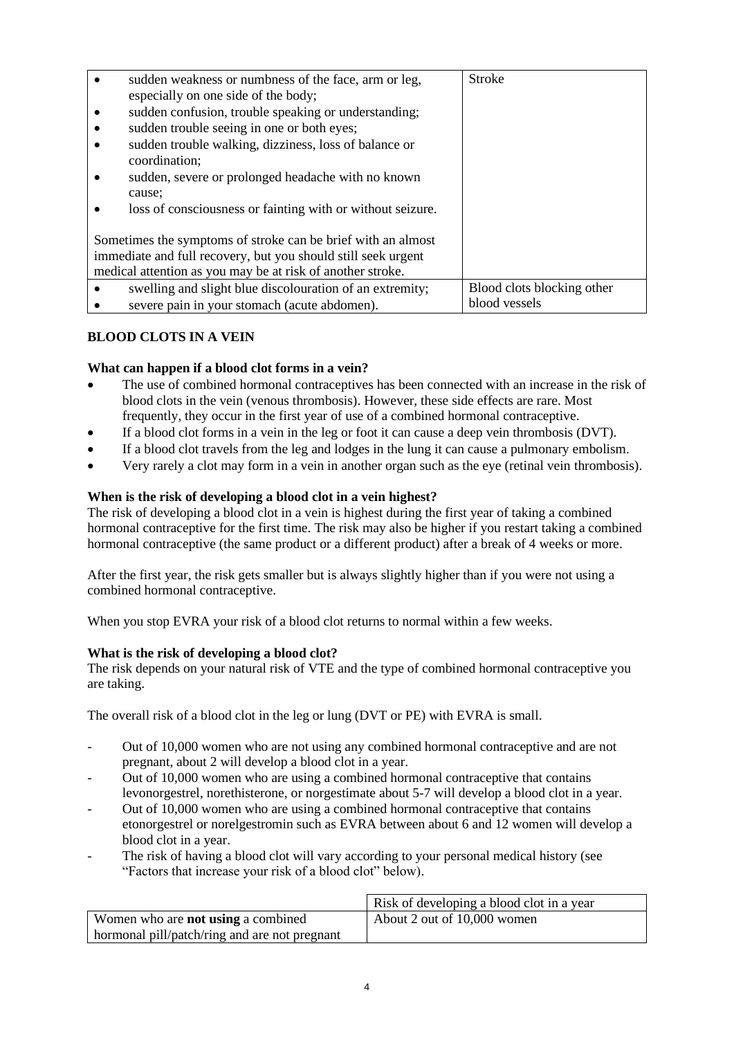|                                                               | sudden weakness or numbness of the face, arm or leg,                   | <b>Stroke</b>              |
|---------------------------------------------------------------|------------------------------------------------------------------------|----------------------------|
|                                                               | especially on one side of the body;                                    |                            |
|                                                               | sudden confusion, trouble speaking or understanding;                   |                            |
|                                                               | sudden trouble seeing in one or both eyes;                             |                            |
|                                                               | sudden trouble walking, dizziness, loss of balance or<br>coordination; |                            |
|                                                               | sudden, severe or prolonged headache with no known<br>cause:           |                            |
|                                                               | loss of consciousness or fainting with or without seizure.             |                            |
| Sometimes the symptoms of stroke can be brief with an almost  |                                                                        |                            |
| immediate and full recovery, but you should still seek urgent |                                                                        |                            |
| medical attention as you may be at risk of another stroke.    |                                                                        |                            |
|                                                               | swelling and slight blue discolouration of an extremity;               | Blood clots blocking other |
|                                                               | severe pain in your stomach (acute abdomen).                           | blood vessels              |

### **BLOOD CLOTS IN A VEIN**

### **What can happen if a blood clot forms in a vein?**

- The use of combined hormonal contraceptives has been connected with an increase in the risk of blood clots in the vein (venous thrombosis). However, these side effects are rare. Most frequently, they occur in the first year of use of a combined hormonal contraceptive.
- If a blood clot forms in a vein in the leg or foot it can cause a deep vein thrombosis (DVT).
- If a blood clot travels from the leg and lodges in the lung it can cause a pulmonary embolism.
- Very rarely a clot may form in a vein in another organ such as the eye (retinal vein thrombosis).

### **When is the risk of developing a blood clot in a vein highest?**

The risk of developing a blood clot in a vein is highest during the first year of taking a combined hormonal contraceptive for the first time. The risk may also be higher if you restart taking a combined hormonal contraceptive (the same product or a different product) after a break of 4 weeks or more.

After the first year, the risk gets smaller but is always slightly higher than if you were not using a combined hormonal contraceptive.

When you stop EVRA your risk of a blood clot returns to normal within a few weeks.

### **What is the risk of developing a blood clot?**

The risk depends on your natural risk of VTE and the type of combined hormonal contraceptive you are taking.

The overall risk of a blood clot in the leg or lung (DVT or PE) with EVRA is small.

- Out of 10,000 women who are not using any combined hormonal contraceptive and are not pregnant, about 2 will develop a blood clot in a year.
- Out of 10,000 women who are using a combined hormonal contraceptive that contains levonorgestrel, norethisterone, or norgestimate about 5-7 will develop a blood clot in a year.
- Out of 10,000 women who are using a combined hormonal contraceptive that contains etonorgestrel or norelgestromin such as EVRA between about 6 and 12 women will develop a blood clot in a year.
- The risk of having a blood clot will vary according to your personal medical history (see "Factors that increase your risk of a blood clot" below).

|                                               | Risk of developing a blood clot in a year |
|-----------------------------------------------|-------------------------------------------|
| Women who are <b>not using</b> a combined     | About 2 out of 10,000 women               |
| hormonal pill/patch/ring and are not pregnant |                                           |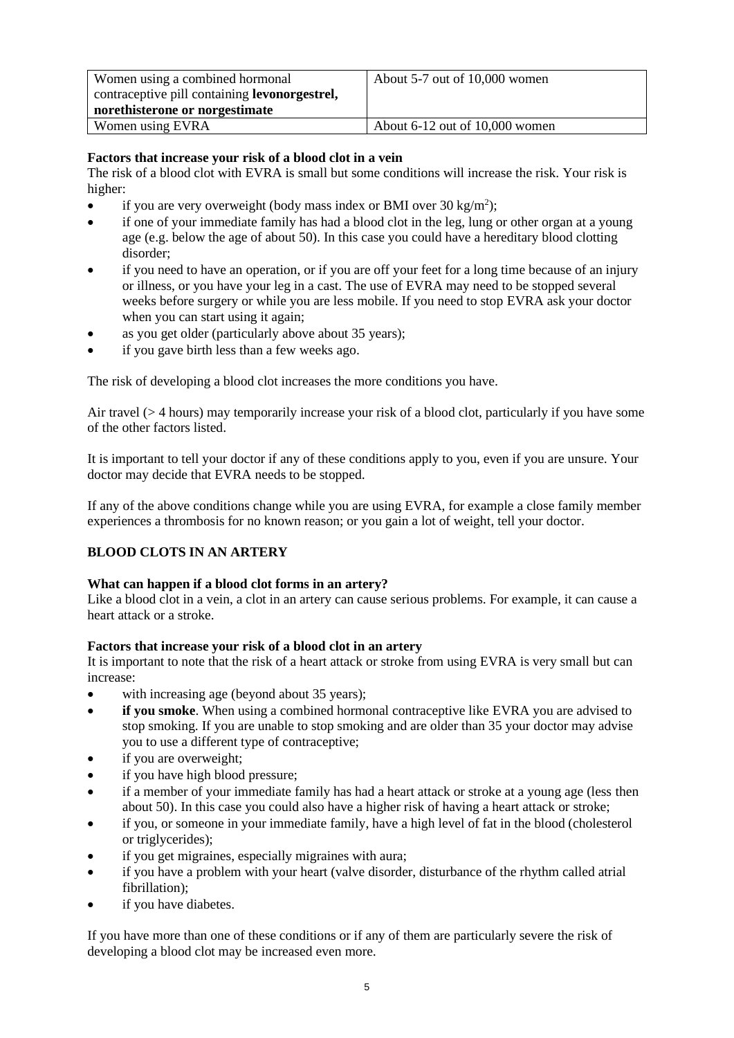| Women using a combined hormonal<br>contraceptive pill containing <b>levonorgestrel</b> , | About $5-7$ out of $10,000$ women  |
|------------------------------------------------------------------------------------------|------------------------------------|
| norethisterone or norgestimate                                                           |                                    |
| Women using EVRA                                                                         | About $6-12$ out of $10,000$ women |

#### **Factors that increase your risk of a blood clot in a vein**

The risk of a blood clot with EVRA is small but some conditions will increase the risk. Your risk is higher:

- if you are very overweight (body mass index or BMI over 30 kg/m<sup>2</sup>);
- if one of your immediate family has had a blood clot in the leg, lung or other organ at a young age (e.g. below the age of about 50). In this case you could have a hereditary blood clotting disorder;
- if you need to have an operation, or if you are off your feet for a long time because of an injury or illness, or you have your leg in a cast. The use of EVRA may need to be stopped several weeks before surgery or while you are less mobile. If you need to stop EVRA ask your doctor when you can start using it again;
- as you get older (particularly above about 35 years);
- if you gave birth less than a few weeks ago.

The risk of developing a blood clot increases the more conditions you have.

Air travel (> 4 hours) may temporarily increase your risk of a blood clot, particularly if you have some of the other factors listed.

It is important to tell your doctor if any of these conditions apply to you, even if you are unsure. Your doctor may decide that EVRA needs to be stopped.

If any of the above conditions change while you are using EVRA, for example a close family member experiences a thrombosis for no known reason; or you gain a lot of weight, tell your doctor.

### **BLOOD CLOTS IN AN ARTERY**

#### **What can happen if a blood clot forms in an artery?**

Like a blood clot in a vein, a clot in an artery can cause serious problems. For example, it can cause a heart attack or a stroke.

#### **Factors that increase your risk of a blood clot in an artery**

It is important to note that the risk of a heart attack or stroke from using EVRA is very small but can increase:

- with increasing age (beyond about 35 years);
- **if you smoke**. When using a combined hormonal contraceptive like EVRA you are advised to stop smoking. If you are unable to stop smoking and are older than 35 your doctor may advise you to use a different type of contraceptive;
- if you are overweight;
- if you have high blood pressure;
- if a member of your immediate family has had a heart attack or stroke at a young age (less then about 50). In this case you could also have a higher risk of having a heart attack or stroke;
- if you, or someone in your immediate family, have a high level of fat in the blood (cholesterol or triglycerides);
- if you get migraines, especially migraines with aura;
- if you have a problem with your heart (valve disorder, disturbance of the rhythm called atrial fibrillation);
- if you have diabetes.

If you have more than one of these conditions or if any of them are particularly severe the risk of developing a blood clot may be increased even more.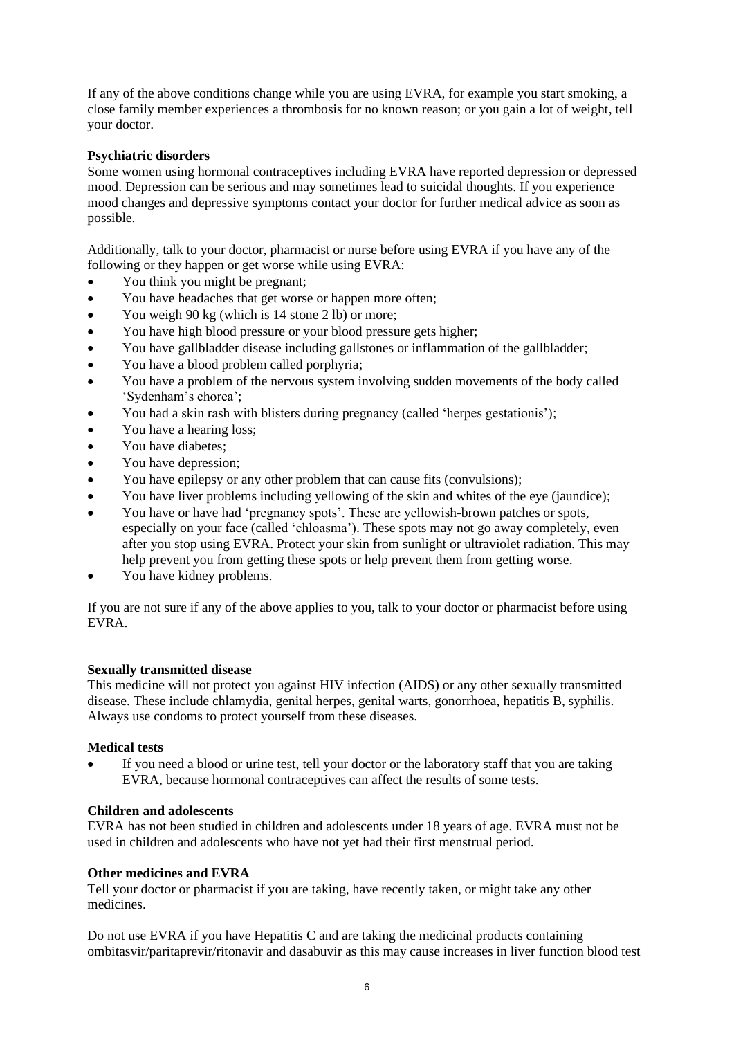If any of the above conditions change while you are using EVRA, for example you start smoking, a close family member experiences a thrombosis for no known reason; or you gain a lot of weight, tell your doctor.

#### **Psychiatric disorders**

Some women using hormonal contraceptives including EVRA have reported depression or depressed mood. Depression can be serious and may sometimes lead to suicidal thoughts. If you experience mood changes and depressive symptoms contact your doctor for further medical advice as soon as possible.

Additionally, talk to your doctor, pharmacist or nurse before using EVRA if you have any of the following or they happen or get worse while using EVRA:

- You think you might be pregnant;
- You have headaches that get worse or happen more often;
- You weigh 90 kg (which is 14 stone 2 lb) or more;
- You have high blood pressure or your blood pressure gets higher;
- You have gallbladder disease including gallstones or inflammation of the gallbladder;
- You have a blood problem called porphyria;
- You have a problem of the nervous system involving sudden movements of the body called 'Sydenham's chorea';
- You had a skin rash with blisters during pregnancy (called 'herpes gestationis');
- You have a hearing loss;
- You have diabetes:
- You have depression;
- You have epilepsy or any other problem that can cause fits (convulsions);
- You have liver problems including yellowing of the skin and whites of the eye (jaundice);
- You have or have had 'pregnancy spots'. These are yellowish-brown patches or spots, especially on your face (called 'chloasma'). These spots may not go away completely, even after you stop using EVRA. Protect your skin from sunlight or ultraviolet radiation. This may help prevent you from getting these spots or help prevent them from getting worse.
- You have kidney problems.

If you are not sure if any of the above applies to you, talk to your doctor or pharmacist before using EVRA.

### **Sexually transmitted disease**

This medicine will not protect you against HIV infection (AIDS) or any other sexually transmitted disease. These include chlamydia, genital herpes, genital warts, gonorrhoea, hepatitis B, syphilis. Always use condoms to protect yourself from these diseases.

#### **Medical tests**

• If you need a blood or urine test, tell your doctor or the laboratory staff that you are taking EVRA, because hormonal contraceptives can affect the results of some tests.

#### **Children and adolescents**

EVRA has not been studied in children and adolescents under 18 years of age. EVRA must not be used in children and adolescents who have not yet had their first menstrual period.

### **Other medicines and EVRA**

Tell your doctor or pharmacist if you are taking, have recently taken, or might take any other medicines.

Do not use EVRA if you have Hepatitis C and are taking the medicinal products containing ombitasvir/paritaprevir/ritonavir and dasabuvir as this may cause increases in liver function blood test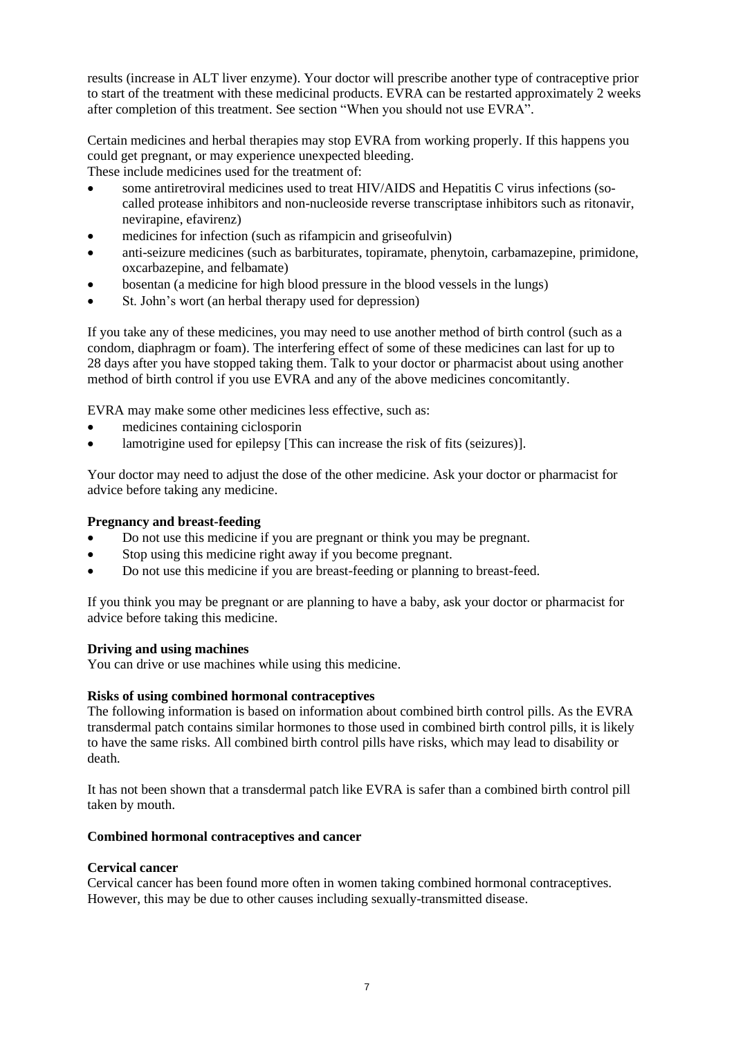results (increase in ALT liver enzyme). Your doctor will prescribe another type of contraceptive prior to start of the treatment with these medicinal products. EVRA can be restarted approximately 2 weeks after completion of this treatment. See section "When you should not use EVRA".

Certain medicines and herbal therapies may stop EVRA from working properly. If this happens you could get pregnant, or may experience unexpected bleeding.

These include medicines used for the treatment of:

- some antiretroviral medicines used to treat HIV/AIDS and Hepatitis C virus infections (socalled protease inhibitors and non-nucleoside reverse transcriptase inhibitors such as ritonavir, nevirapine, efavirenz)
- medicines for infection (such as rifampicin and griseofulvin)
- anti-seizure medicines (such as barbiturates, topiramate, phenytoin, carbamazepine, primidone, oxcarbazepine, and felbamate)
- bosentan (a medicine for high blood pressure in the blood vessels in the lungs)
- St. John's wort (an herbal therapy used for depression)

If you take any of these medicines, you may need to use another method of birth control (such as a condom, diaphragm or foam). The interfering effect of some of these medicines can last for up to 28 days after you have stopped taking them. Talk to your doctor or pharmacist about using another method of birth control if you use EVRA and any of the above medicines concomitantly.

EVRA may make some other medicines less effective, such as:

- medicines containing ciclosporin
- lamotrigine used for epilepsy [This can increase the risk of fits (seizures)].

Your doctor may need to adjust the dose of the other medicine. Ask your doctor or pharmacist for advice before taking any medicine.

#### **Pregnancy and breast-feeding**

- Do not use this medicine if you are pregnant or think you may be pregnant.
- Stop using this medicine right away if you become pregnant.
- Do not use this medicine if you are breast-feeding or planning to breast-feed.

If you think you may be pregnant or are planning to have a baby, ask your doctor or pharmacist for advice before taking this medicine.

#### **Driving and using machines**

You can drive or use machines while using this medicine.

#### **Risks of using combined hormonal contraceptives**

The following information is based on information about combined birth control pills. As the EVRA transdermal patch contains similar hormones to those used in combined birth control pills, it is likely to have the same risks. All combined birth control pills have risks, which may lead to disability or death.

It has not been shown that a transdermal patch like EVRA is safer than a combined birth control pill taken by mouth.

#### **Combined hormonal contraceptives and cancer**

#### **Cervical cancer**

Cervical cancer has been found more often in women taking combined hormonal contraceptives. However, this may be due to other causes including sexually-transmitted disease.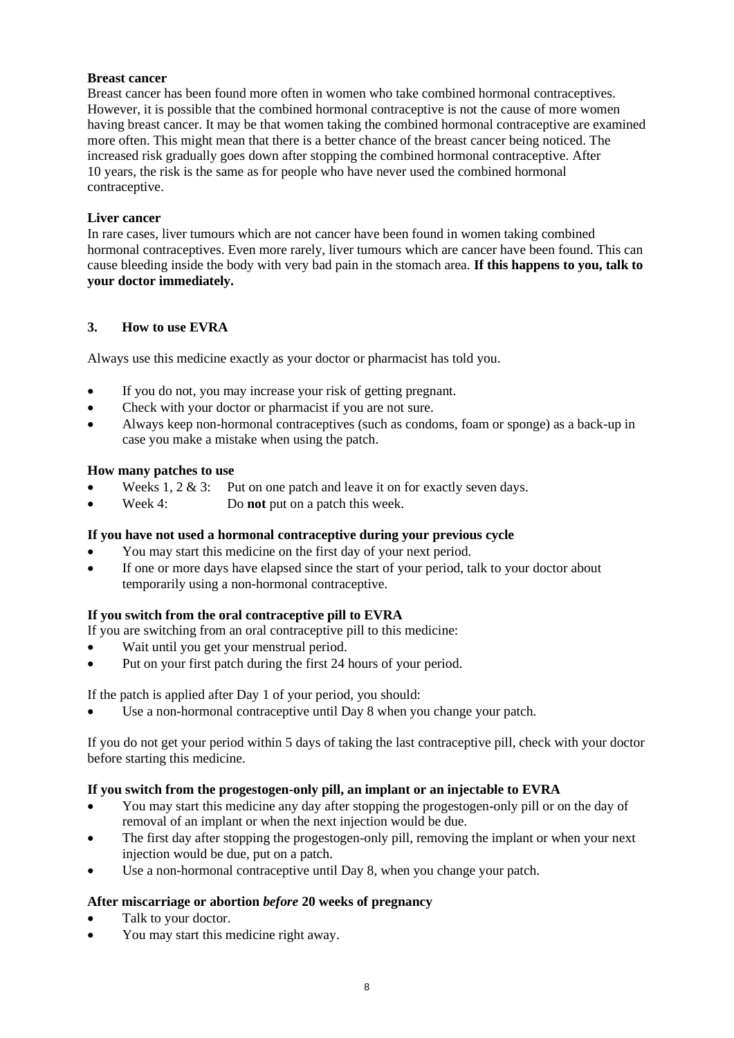#### **Breast cancer**

Breast cancer has been found more often in women who take combined hormonal contraceptives. However, it is possible that the combined hormonal contraceptive is not the cause of more women having breast cancer. It may be that women taking the combined hormonal contraceptive are examined more often. This might mean that there is a better chance of the breast cancer being noticed. The increased risk gradually goes down after stopping the combined hormonal contraceptive. After 10 years, the risk is the same as for people who have never used the combined hormonal contraceptive.

#### **Liver cancer**

In rare cases, liver tumours which are not cancer have been found in women taking combined hormonal contraceptives. Even more rarely, liver tumours which are cancer have been found. This can cause bleeding inside the body with very bad pain in the stomach area. **If this happens to you, talk to your doctor immediately.**

#### **3. How to use EVRA**

Always use this medicine exactly as your doctor or pharmacist has told you.

- If you do not, you may increase your risk of getting pregnant.
- Check with your doctor or pharmacist if you are not sure.
- Always keep non-hormonal contraceptives (such as condoms, foam or sponge) as a back-up in case you make a mistake when using the patch.

#### **How many patches to use**

- Weeks 1, 2  $\&$  3: Put on one patch and leave it on for exactly seven days.
- Week 4: Do **not** put on a patch this week.

#### **If you have not used a hormonal contraceptive during your previous cycle**

- You may start this medicine on the first day of your next period.
- If one or more days have elapsed since the start of your period, talk to your doctor about temporarily using a non-hormonal contraceptive.

### **If you switch from the oral contraceptive pill to EVRA**

If you are switching from an oral contraceptive pill to this medicine:

- Wait until you get your menstrual period.
- Put on your first patch during the first 24 hours of your period.

If the patch is applied after Day 1 of your period, you should:

Use a non-hormonal contraceptive until Day 8 when you change your patch.

If you do not get your period within 5 days of taking the last contraceptive pill, check with your doctor before starting this medicine.

#### **If you switch from the progestogen-only pill, an implant or an injectable to EVRA**

- You may start this medicine any day after stopping the progestogen-only pill or on the day of removal of an implant or when the next injection would be due.
- The first day after stopping the progestogen-only pill, removing the implant or when your next injection would be due, put on a patch.
- Use a non-hormonal contraceptive until Day 8, when you change your patch.

### **After miscarriage or abortion** *before* **20 weeks of pregnancy**

- Talk to your doctor.
- You may start this medicine right away.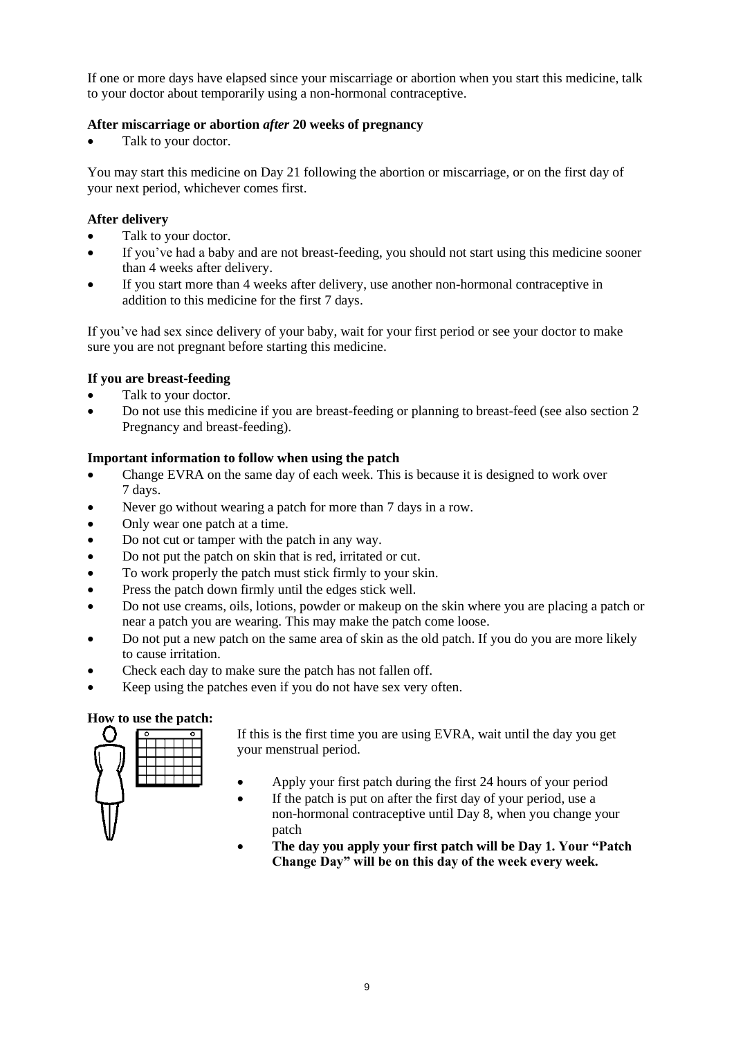If one or more days have elapsed since your miscarriage or abortion when you start this medicine, talk to your doctor about temporarily using a non-hormonal contraceptive.

### **After miscarriage or abortion** *after* **20 weeks of pregnancy**

Talk to your doctor.

You may start this medicine on Day 21 following the abortion or miscarriage, or on the first day of your next period, whichever comes first.

#### **After delivery**

- Talk to your doctor.
- If you've had a baby and are not breast-feeding, you should not start using this medicine sooner than 4 weeks after delivery.
- If you start more than 4 weeks after delivery, use another non-hormonal contraceptive in addition to this medicine for the first 7 days.

If you've had sex since delivery of your baby, wait for your first period or see your doctor to make sure you are not pregnant before starting this medicine.

### **If you are breast-feeding**

- Talk to your doctor.
- Do not use this medicine if you are breast-feeding or planning to breast-feed (see also section 2 Pregnancy and breast-feeding).

#### **Important information to follow when using the patch**

- Change EVRA on the same day of each week. This is because it is designed to work over 7 days.
- Never go without wearing a patch for more than 7 days in a row.
- Only wear one patch at a time.
- Do not cut or tamper with the patch in any way.
- Do not put the patch on skin that is red, irritated or cut.
- To work properly the patch must stick firmly to your skin.
- Press the patch down firmly until the edges stick well.
- Do not use creams, oils, lotions, powder or makeup on the skin where you are placing a patch or near a patch you are wearing. This may make the patch come loose.
- Do not put a new patch on the same area of skin as the old patch. If you do you are more likely to cause irritation.
- Check each day to make sure the patch has not fallen off.
- Keep using the patches even if you do not have sex very often.

#### **How to use the patch:**



If this is the first time you are using EVRA, wait until the day you get your menstrual period.

- Apply your first patch during the first 24 hours of your period
- If the patch is put on after the first day of your period, use a non-hormonal contraceptive until Day 8, when you change your patch
- **The day you apply your first patch will be Day 1. Your "Patch Change Day" will be on this day of the week every week.**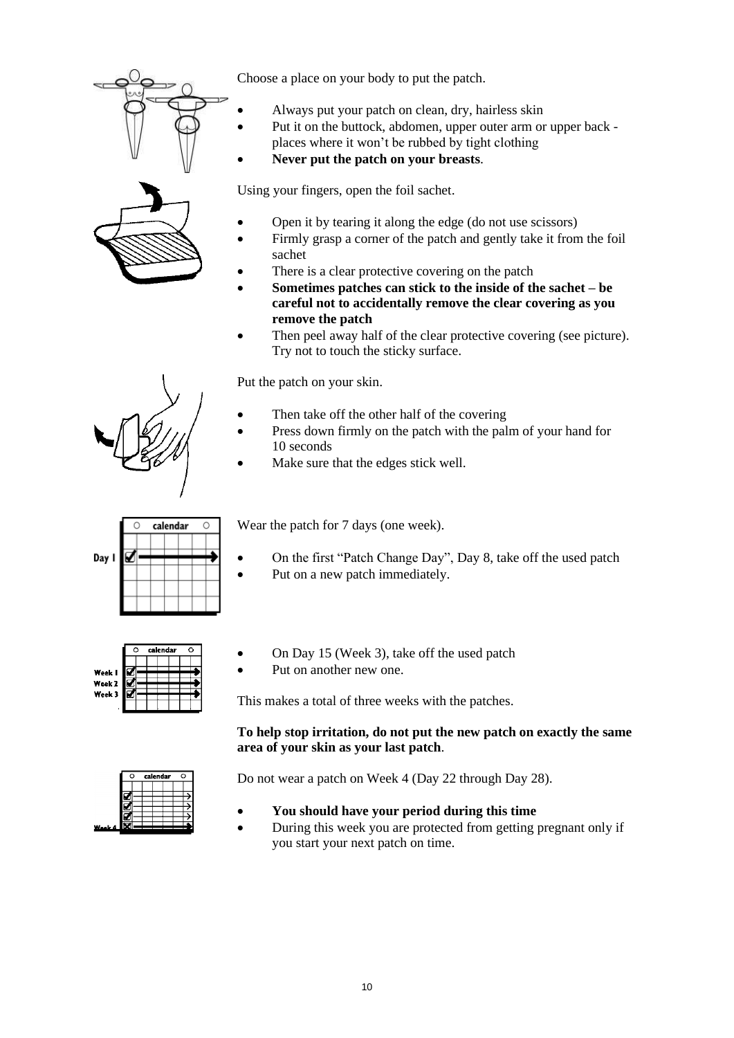



Choose a place on your body to put the patch.

- Always put your patch on clean, dry, hairless skin
- Put it on the buttock, abdomen, upper outer arm or upper back places where it won't be rubbed by tight clothing
- **Never put the patch on your breasts**.

Using your fingers, open the foil sachet.

- Open it by tearing it along the edge (do not use scissors)
- Firmly grasp a corner of the patch and gently take it from the foil sachet
- There is a clear protective covering on the patch
- **Sometimes patches can stick to the inside of the sachet – be careful not to accidentally remove the clear covering as you remove the patch**
- Then peel away half of the clear protective covering (see picture). Try not to touch the sticky surface.

Put the patch on your skin.

- Then take off the other half of the covering
- Press down firmly on the patch with the palm of your hand for 10 seconds
- Make sure that the edges stick well.



Wear the patch for 7 days (one week).

- On the first "Patch Change Day", Day 8, take off the used patch
- Put on a new patch immediately.



• On Day 15 (Week 3), take off the used patch

Put on another new one.

This makes a total of three weeks with the patches.

### **To help stop irritation, do not put the new patch on exactly the same area of your skin as your last patch**.

Do not wear a patch on Week 4 (Day 22 through Day 28).

- **You should have your period during this time**
- During this week you are protected from getting pregnant only if you start your next patch on time.

Day I



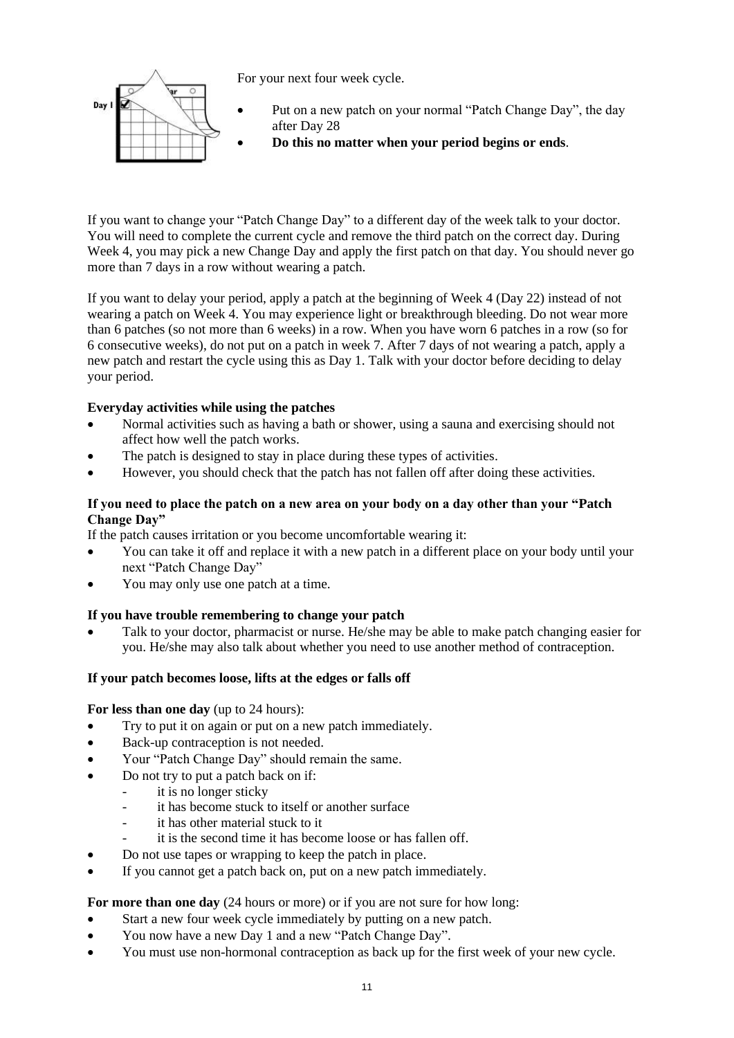

For your next four week cycle.

- Put on a new patch on your normal "Patch Change Day", the day after Day 28
	- **Do this no matter when your period begins or ends**.

If you want to change your "Patch Change Day" to a different day of the week talk to your doctor. You will need to complete the current cycle and remove the third patch on the correct day. During Week 4, you may pick a new Change Day and apply the first patch on that day. You should never go more than 7 days in a row without wearing a patch.

If you want to delay your period, apply a patch at the beginning of Week 4 (Day 22) instead of not wearing a patch on Week 4. You may experience light or breakthrough bleeding. Do not wear more than 6 patches (so not more than 6 weeks) in a row. When you have worn 6 patches in a row (so for 6 consecutive weeks), do not put on a patch in week 7. After 7 days of not wearing a patch, apply a new patch and restart the cycle using this as Day 1. Talk with your doctor before deciding to delay your period.

### **Everyday activities while using the patches**

- Normal activities such as having a bath or shower, using a sauna and exercising should not affect how well the patch works.
- The patch is designed to stay in place during these types of activities.
- However, you should check that the patch has not fallen off after doing these activities.

### **If you need to place the patch on a new area on your body on a day other than your "Patch Change Day"**

If the patch causes irritation or you become uncomfortable wearing it:

- You can take it off and replace it with a new patch in a different place on your body until your next "Patch Change Day"
- You may only use one patch at a time.

### **If you have trouble remembering to change your patch**

• Talk to your doctor, pharmacist or nurse. He/she may be able to make patch changing easier for you. He/she may also talk about whether you need to use another method of contraception.

### **If your patch becomes loose, lifts at the edges or falls off**

### **For less than one day** (up to 24 hours):

- Try to put it on again or put on a new patch immediately.
- Back-up contraception is not needed.
- Your "Patch Change Day" should remain the same.
	- Do not try to put a patch back on if:
		- it is no longer sticky
		- it has become stuck to itself or another surface
		- it has other material stuck to it
		- it is the second time it has become loose or has fallen off.
- Do not use tapes or wrapping to keep the patch in place.
- If you cannot get a patch back on, put on a new patch immediately.

### **For more than one day** (24 hours or more) or if you are not sure for how long:

- Start a new four week cycle immediately by putting on a new patch.
- You now have a new Day 1 and a new "Patch Change Day".
- You must use non-hormonal contraception as back up for the first week of your new cycle.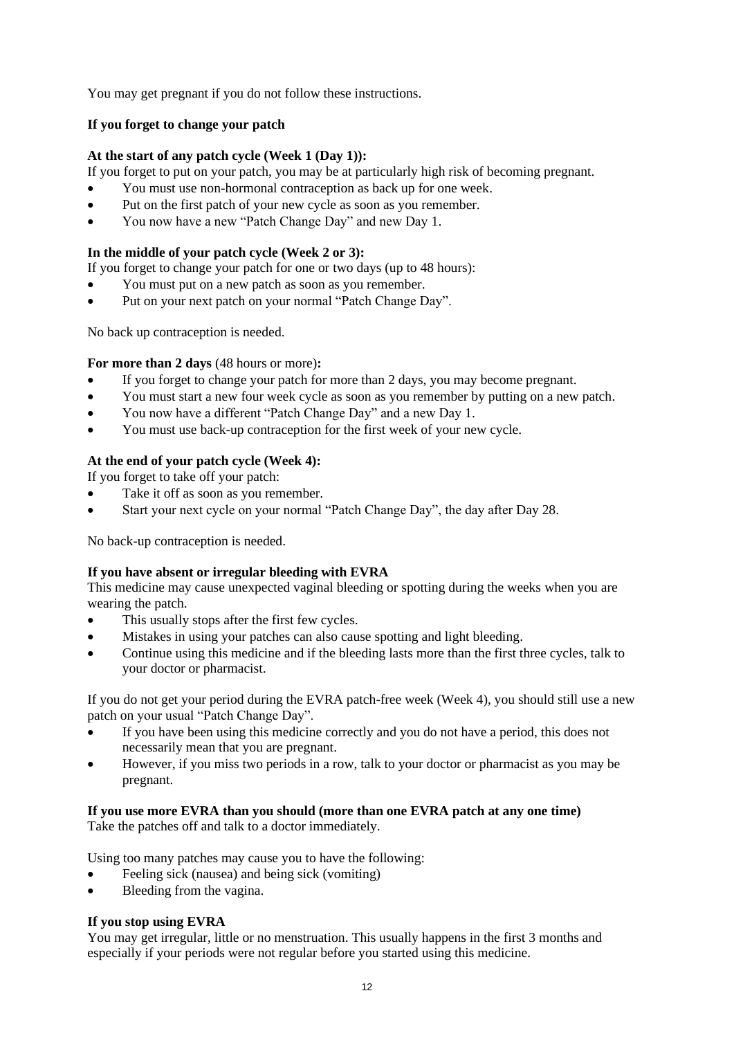You may get pregnant if you do not follow these instructions.

#### **If you forget to change your patch**

#### **At the start of any patch cycle (Week 1 (Day 1)):**

If you forget to put on your patch, you may be at particularly high risk of becoming pregnant.

- You must use non-hormonal contraception as back up for one week.
- Put on the first patch of your new cycle as soon as you remember.
- You now have a new "Patch Change Day" and new Day 1.

#### **In the middle of your patch cycle (Week 2 or 3):**

If you forget to change your patch for one or two days (up to 48 hours):

- You must put on a new patch as soon as you remember.
- Put on your next patch on your normal "Patch Change Day".

No back up contraception is needed.

#### **For more than 2 days** (48 hours or more)**:**

- If you forget to change your patch for more than 2 days, you may become pregnant.
- You must start a new four week cycle as soon as you remember by putting on a new patch.
- You now have a different "Patch Change Day" and a new Day 1.
- You must use back-up contraception for the first week of your new cycle.

### **At the end of your patch cycle (Week 4):**

If you forget to take off your patch:

- Take it off as soon as you remember.
- Start your next cycle on your normal "Patch Change Day", the day after Day 28.

No back-up contraception is needed.

### **If you have absent or irregular bleeding with EVRA**

This medicine may cause unexpected vaginal bleeding or spotting during the weeks when you are wearing the patch.

- This usually stops after the first few cycles.
- Mistakes in using your patches can also cause spotting and light bleeding.
- Continue using this medicine and if the bleeding lasts more than the first three cycles, talk to your doctor or pharmacist.

If you do not get your period during the EVRA patch-free week (Week 4), you should still use a new patch on your usual "Patch Change Day".

- If you have been using this medicine correctly and you do not have a period, this does not necessarily mean that you are pregnant.
- However, if you miss two periods in a row, talk to your doctor or pharmacist as you may be pregnant.

## **If you use more EVRA than you should (more than one EVRA patch at any one time)**

Take the patches off and talk to a doctor immediately.

Using too many patches may cause you to have the following:

- Feeling sick (nausea) and being sick (vomiting)
- Bleeding from the vagina.

### **If you stop using EVRA**

You may get irregular, little or no menstruation. This usually happens in the first 3 months and especially if your periods were not regular before you started using this medicine.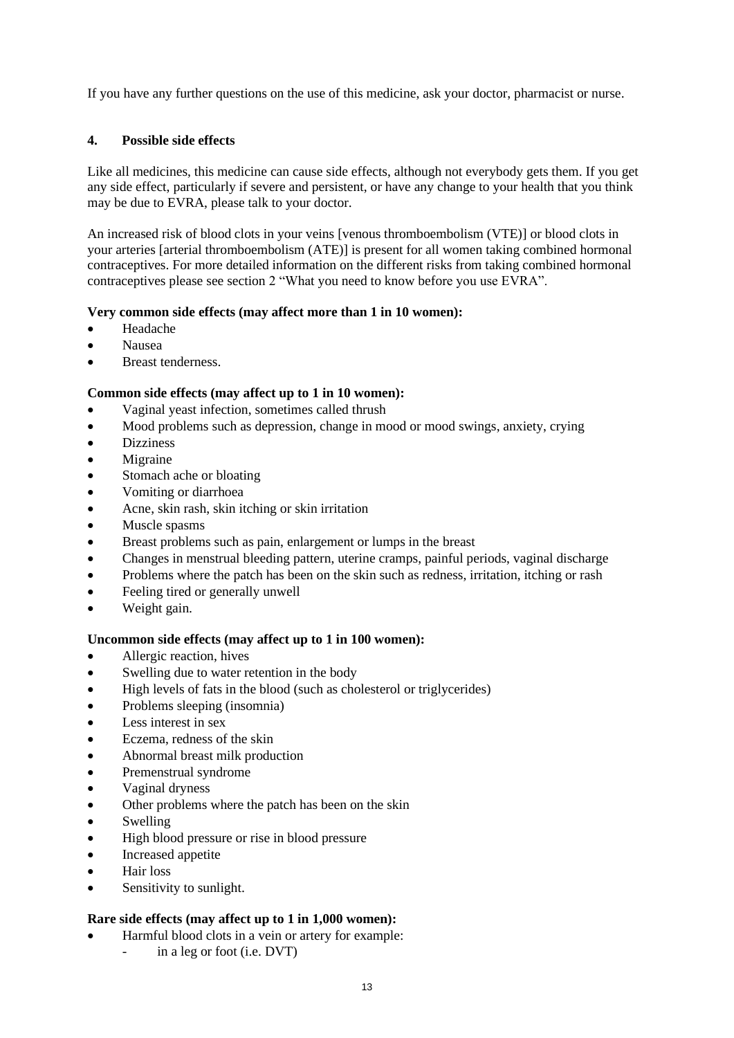If you have any further questions on the use of this medicine, ask your doctor, pharmacist or nurse.

#### **4. Possible side effects**

Like all medicines, this medicine can cause side effects, although not everybody gets them. If you get any side effect, particularly if severe and persistent, or have any change to your health that you think may be due to EVRA, please talk to your doctor.

An increased risk of blood clots in your veins [venous thromboembolism (VTE)] or blood clots in your arteries [arterial thromboembolism (ATE)] is present for all women taking combined hormonal contraceptives. For more detailed information on the different risks from taking combined hormonal contraceptives please see section 2 "What you need to know before you use EVRA".

#### **Very common side effects (may affect more than 1 in 10 women):**

- Headache
- Nausea
- Breast tenderness.

#### **Common side effects (may affect up to 1 in 10 women):**

- Vaginal yeast infection, sometimes called thrush
- Mood problems such as depression, change in mood or mood swings, anxiety, crying
- Dizziness
- Migraine
- Stomach ache or bloating
- Vomiting or diarrhoea
- Acne, skin rash, skin itching or skin irritation
- Muscle spasms
- Breast problems such as pain, enlargement or lumps in the breast
- Changes in menstrual bleeding pattern, uterine cramps, painful periods, vaginal discharge
- Problems where the patch has been on the skin such as redness, irritation, itching or rash
- Feeling tired or generally unwell
- Weight gain.

#### **Uncommon side effects (may affect up to 1 in 100 women):**

- Allergic reaction, hives
- Swelling due to water retention in the body
- High levels of fats in the blood (such as cholesterol or triglycerides)
- Problems sleeping (insomnia)
- Less interest in sex
- Eczema, redness of the skin
- Abnormal breast milk production
- Premenstrual syndrome
- Vaginal dryness
- Other problems where the patch has been on the skin
- Swelling
- High blood pressure or rise in blood pressure
- Increased appetite
- Hair loss
- Sensitivity to sunlight.

#### **Rare side effects (may affect up to 1 in 1,000 women):**

- Harmful blood clots in a vein or artery for example:
	- in a leg or foot (i.e.  $DVT$ )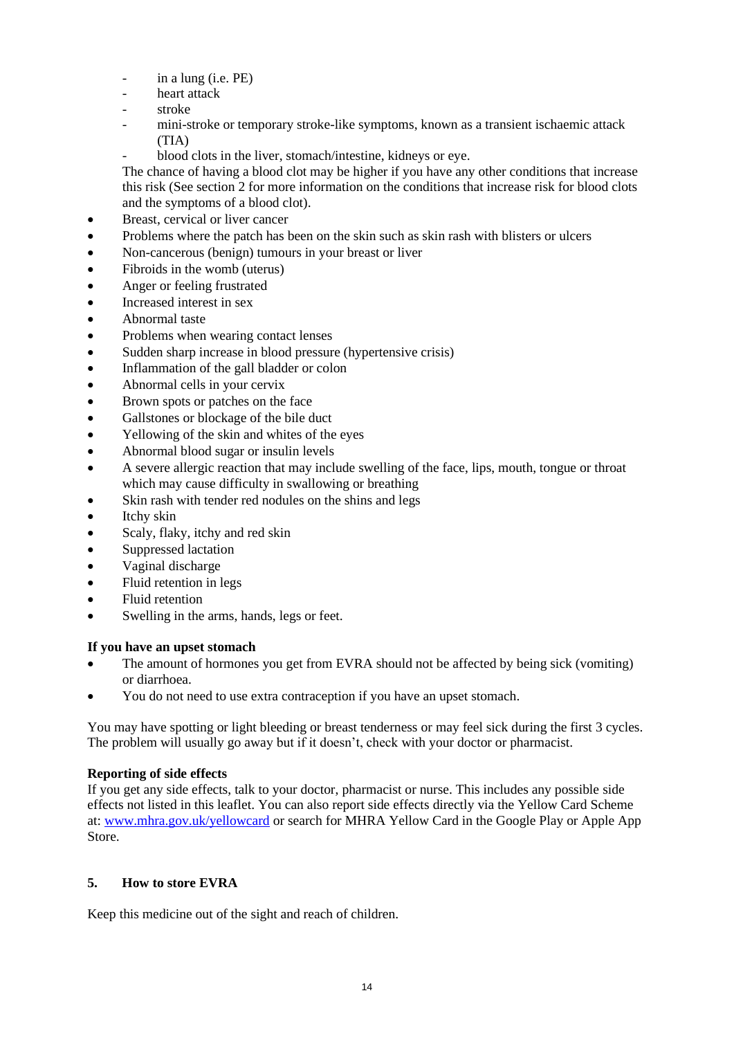- in a lung (i.e. PE)
- heart attack
- stroke
- mini-stroke or temporary stroke-like symptoms, known as a transient ischaemic attack (TIA)
- blood clots in the liver, stomach/intestine, kidneys or eye.

The chance of having a blood clot may be higher if you have any other conditions that increase this risk (See section 2 for more information on the conditions that increase risk for blood clots and the symptoms of a blood clot).

- Breast, cervical or liver cancer
- Problems where the patch has been on the skin such as skin rash with blisters or ulcers
- Non-cancerous (benign) tumours in your breast or liver
- Fibroids in the womb (uterus)
- Anger or feeling frustrated
- Increased interest in sex
- Abnormal taste
- Problems when wearing contact lenses
- Sudden sharp increase in blood pressure (hypertensive crisis)
- Inflammation of the gall bladder or colon
- Abnormal cells in your cervix
- Brown spots or patches on the face
- Gallstones or blockage of the bile duct
- Yellowing of the skin and whites of the eyes
- Abnormal blood sugar or insulin levels
- A severe allergic reaction that may include swelling of the face, lips, mouth, tongue or throat which may cause difficulty in swallowing or breathing
- Skin rash with tender red nodules on the shins and legs
- Itchy skin
- Scaly, flaky, itchy and red skin
- Suppressed lactation
- Vaginal discharge
- Fluid retention in legs
- Fluid retention
- Swelling in the arms, hands, legs or feet.

### **If you have an upset stomach**

- The amount of hormones you get from EVRA should not be affected by being sick (vomiting) or diarrhoea.
- You do not need to use extra contraception if you have an upset stomach.

You may have spotting or light bleeding or breast tenderness or may feel sick during the first 3 cycles. The problem will usually go away but if it doesn't, check with your doctor or pharmacist.

### **Reporting of side effects**

If you get any side effects, talk to your doctor, pharmacist or nurse. This includes any possible side effects not listed in this leaflet. You can also report side effects directly via the Yellow Card Scheme at[: www.mhra.gov.uk/yellowcard](http://www.mhra.gov.uk/yellowcard) or search for MHRA Yellow Card in the Google Play or Apple App Store.

### **5. How to store EVRA**

Keep this medicine out of the sight and reach of children.